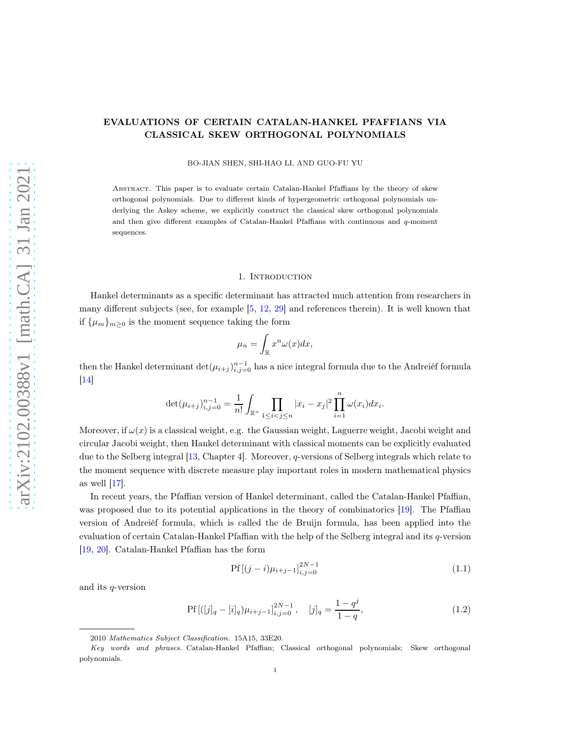# EVALUATIONS OF CERTAIN CATALAN-HANKEL PFAFFIANS VIA CLASSICAL SKEW ORTHOGONAL POLYNOMIALS

BO-JIAN SHEN, SHI-HAO LI, AND GUO-FU YU

Abstract. This paper is to evaluate certain Catalan-Hankel Pfaffians by the theory of skew orthogonal polynomials. Due to different kinds of hypergeometric orthogonal polynomials underlying the Askey scheme, we explicitly construct the classical skew orthogonal polynomials and then give different examples of Catalan-Hankel Pfaffians with continuous and  $q$ -moment sequences.

#### 1. Introduction

Hankel determinants as a specific determinant has attracted much attention from researchers in many different subjects (see, for example [\[5,](#page-12-0) [12,](#page-12-1) [29\]](#page-13-0) and references therein). It is well known that if  $\{\mu_m\}_{m>0}$  is the moment sequence taking the form

$$
\mu_n = \int_{\mathbb{R}} x^n \omega(x) dx,
$$

then the Hankel determinant  $\det(\mu_{i+j})_{i,j=0}^{n-1}$  has a nice integral formula due to the Andreiéf formula  $\boxed{14}$ 

$$
\det(\mu_{i+j})_{i,j=0}^{n-1} = \frac{1}{n!} \int_{\mathbb{R}^n} \prod_{1 \le i < j \le n} |x_i - x_j|^2 \prod_{i=1}^n \omega(x_i) dx_i.
$$

Moreover, if  $\omega(x)$  is a classical weight, e.g. the Gaussian weight, Laguerre weight, Jacobi weight and circular Jacobi weight, then Hankel determinant with classical moments can be explicitly evaluated due to the Selberg integral [\[13,](#page-12-2) Chapter 4]. Moreover, q-versions of Selberg integrals which relate to the moment sequence with discrete measure play important roles in modern mathematical physics as well  $|17|$ .

In recent years, the Pfaffian version of Hankel determinant, called the Catalan-Hankel Pfaffian, was proposed due to its potential applications in the theory of combinatorics [\[19\]](#page-13-3). The Pfaffian version of Andreiéf formula, which is called the de Bruijn formula, has been applied into the evaluation of certain Catalan-Hankel Pfaffian with the help of the Selberg integral and its q-version [\[19,](#page-13-3) [20\]](#page-13-4). Catalan-Hankel Pfaffian has the form

<span id="page-0-1"></span><span id="page-0-0"></span>
$$
Pf[(j-i)\mu_{i+j-1}]_{i,j=0}^{2N-1}
$$
\n(1.1)

and its q-version

$$
Pf[([j]_q - [i]_q)\mu_{i+j-1}]_{i,j=0}^{2N-1}, \quad [j]_q = \frac{1-q^j}{1-q}, \tag{1.2}
$$

<sup>2010</sup> Mathematics Subject Classification. 15A15, 33E20.

Key words and phrases. Catalan-Hankel Pfaffian; Classical orthogonal polynomials; Skew orthogonal polynomials.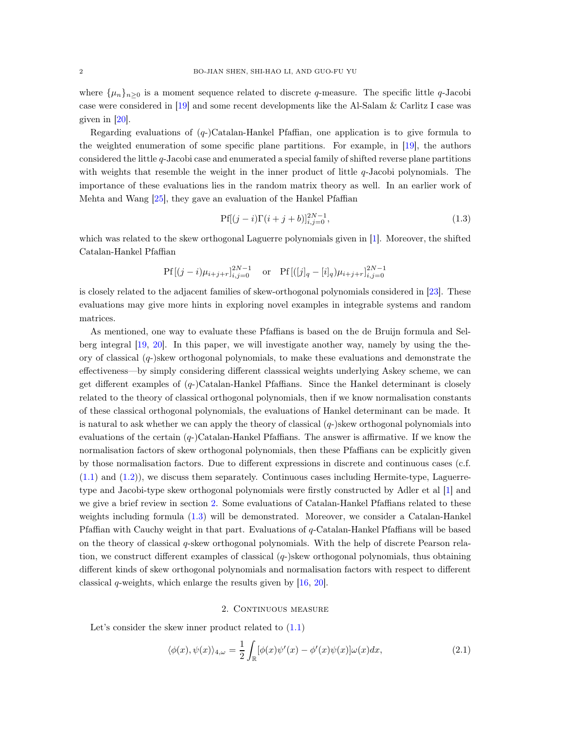where  $\{\mu_n\}_{n>0}$  is a moment sequence related to discrete q-measure. The specific little q-Jacobi case were considered in [\[19](#page-13-3)] and some recent developments like the Al-Salam & Carlitz I case was given in [\[20\]](#page-13-4).

Regarding evaluations of  $(q)$ -Catalan-Hankel Pfaffian, one application is to give formula to the weighted enumeration of some specific plane partitions. For example, in [\[19\]](#page-13-3), the authors considered the little q-Jacobi case and enumerated a special family of shifted reverse plane partitions with weights that resemble the weight in the inner product of little  $q$ -Jacobi polynomials. The importance of these evaluations lies in the random matrix theory as well. In an earlier work of Mehta and Wang [\[25\]](#page-13-5), they gave an evaluation of the Hankel Pfaffian

<span id="page-1-1"></span>
$$
Pf[(j-i)\Gamma(i+j+b)]_{i,j=0}^{2N-1},\tag{1.3}
$$

which was related to the skew orthogonal Laguerre polynomials given in [\[1](#page-12-3)]. Moreover, the shifted Catalan-Hankel Pfaffian

$$
Pf[(j-i)\mu_{i+j+r}]_{i,j=0}^{2N-1} \quad \text{or} \quad Pf[(j]_q - [i]_q)\mu_{i+j+r}]_{i,j=0}^{2N-1}
$$

is closely related to the adjacent families of skew-orthogonal polynomials considered in [\[23](#page-13-6)]. These evaluations may give more hints in exploring novel examples in integrable systems and random matrices.

As mentioned, one way to evaluate these Pfaffians is based on the de Bruijn formula and Selberg integral [\[19](#page-13-3), [20](#page-13-4)]. In this paper, we will investigate another way, namely by using the theory of classical  $(q-)$ skew orthogonal polynomials, to make these evaluations and demonstrate the effectiveness—by simply considering different classsical weights underlying Askey scheme, we can get different examples of  $(q)$ -Catalan-Hankel Pfaffians. Since the Hankel determinant is closely related to the theory of classical orthogonal polynomials, then if we know normalisation constants of these classical orthogonal polynomials, the evaluations of Hankel determinant can be made. It is natural to ask whether we can apply the theory of classical  $(q-)$ skew orthogonal polynomials into evaluations of the certain  $(q)$ -Catalan-Hankel Pfaffians. The answer is affirmative. If we know the normalisation factors of skew orthogonal polynomials, then these Pfaffians can be explicitly given by those normalisation factors. Due to different expressions in discrete and continuous cases (c.f. [\(1.1\)](#page-0-0) and [\(1.2\)](#page-0-1)), we discuss them separately. Continuous cases including Hermite-type, Laguerretype and Jacobi-type skew orthogonal polynomials were firstly constructed by Adler et al [\[1](#page-12-3)] and we give a brief review in section [2.](#page-1-0) Some evaluations of Catalan-Hankel Pfaffians related to these weights including formula [\(1.3\)](#page-1-1) will be demonstrated. Moreover, we consider a Catalan-Hankel Pfaffian with Cauchy weight in that part. Evaluations of q-Catalan-Hankel Pfaffians will be based on the theory of classical q-skew orthogonal polynomials. With the help of discrete Pearson relation, we construct different examples of classical  $(q-)$ skew orthogonal polynomials, thus obtaining different kinds of skew orthogonal polynomials and normalisation factors with respect to different classical  $q$ -weights, which enlarge the results given by  $[16, 20]$  $[16, 20]$  $[16, 20]$ .

# <span id="page-1-2"></span>2. CONTINUOUS MEASURE

<span id="page-1-0"></span>Let's consider the skew inner product related to  $(1.1)$ 

$$
\langle \phi(x), \psi(x) \rangle_{4,\omega} = \frac{1}{2} \int_{\mathbb{R}} [\phi(x)\psi'(x) - \phi'(x)\psi(x)]\omega(x) dx, \tag{2.1}
$$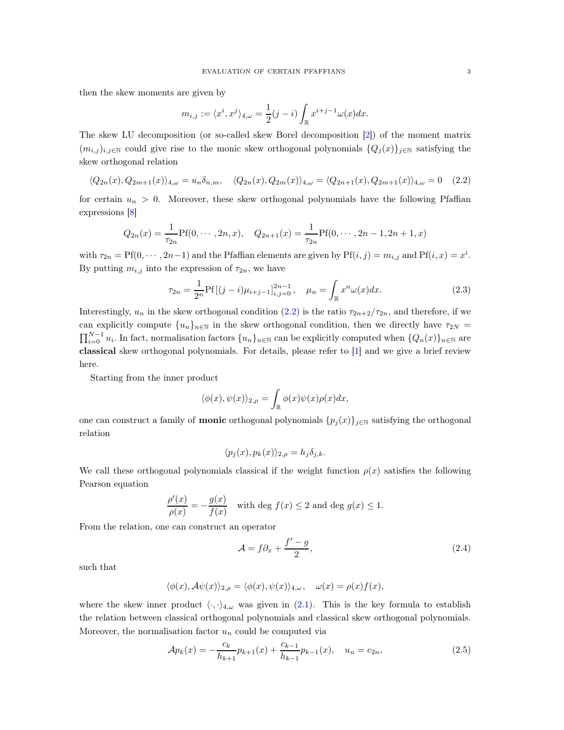then the skew moments are given by

<span id="page-2-0"></span>
$$
m_{i,j} := \langle x^i, x^j \rangle_{4,\omega} = \frac{1}{2}(j-i) \int_{\mathbb{R}} x^{i+j-1} \omega(x) dx.
$$

The skew LU decomposition (or so-called skew Borel decomposition [\[2\]](#page-12-4)) of the moment matrix  $(m_{i,j})_{i,j\in\mathbb{N}}$  could give rise to the monic skew orthogonal polynomials  $\{Q_j(x)\}_{j\in\mathbb{N}}$  satisfying the skew orthogonal relation

$$
\langle Q_{2n}(x), Q_{2m+1}(x) \rangle_{4,\omega} = u_n \delta_{n,m}, \quad \langle Q_{2n}(x), Q_{2m}(x) \rangle_{4,\omega} = \langle Q_{2n+1}(x), Q_{2m+1}(x) \rangle_{4,\omega} = 0 \quad (2.2)
$$

for certain  $u_n > 0$ . Moreover, these skew orthogonal polynomials have the following Pfaffian expressions [\[8\]](#page-12-5)

$$
Q_{2n}(x) = \frac{1}{\tau_{2n}} \text{Pf}(0, \dots, 2n, x), \quad Q_{2n+1}(x) = \frac{1}{\tau_{2n}} \text{Pf}(0, \dots, 2n-1, 2n+1, x)
$$

with  $\tau_{2n} = Pf(0, \dots, 2n-1)$  and the Pfaffian elements are given by  $Pf(i, j) = m_{i,j}$  and  $Pf(i, x) = x^{i}$ . By putting  $m_{i,j}$  into the expression of  $\tau_{2n}$ , we have

$$
\tau_{2n} = \frac{1}{2^n} \text{Pf}[(j-i)\mu_{i+j-1}]_{i,j=0}^{2n-1}, \quad \mu_n = \int_{\mathbb{R}} x^n \omega(x) dx. \tag{2.3}
$$

Interestingly,  $u_n$  in the skew orthogonal condition [\(2.2\)](#page-2-0) is the ratio  $\tau_{2n+2}/\tau_{2n}$ , and therefore, if we can explicitly compute  $\{u_n\}_{n\in\mathbb{N}}$  in the skew orthogonal condition, then we directly have  $\tau_{2N}$  =  $\prod_{i=0}^{N-1} u_i$ . In fact, normalisation factors  $\{u_n\}_{n\in\mathbb{N}}$  can be explicitly computed when  $\{Q_n(x)\}_{n\in\mathbb{N}}$  are classical skew orthogonal polynomials. For details, please refer to [\[1\]](#page-12-3) and we give a brief review here.

Starting from the inner product

<span id="page-2-1"></span>
$$
\langle \phi(x), \psi(x) \rangle_{2,\rho} = \int_{\mathbb{R}} \phi(x) \psi(x) \rho(x) dx,
$$

one can construct a family of **monic** orthogonal polynomials  $\{p_j(x)\}_{j\in\mathbb{N}}$  satisfying the orthogonal relation

$$
\langle p_j(x), p_k(x) \rangle_{2,\rho} = h_j \delta_{j,k}.
$$

We call these orthogonal polynomials classical if the weight function  $\rho(x)$  satisfies the following Pearson equation

$$
\frac{\rho'(x)}{\rho(x)} = -\frac{g(x)}{f(x)}
$$
 with deg  $f(x) \le 2$  and deg  $g(x) \le 1$ .

From the relation, one can construct an operator

<span id="page-2-2"></span>
$$
\mathcal{A} = f \partial_x + \frac{f' - g}{2},\tag{2.4}
$$

such that

$$
\langle \phi(x), A\psi(x) \rangle_{2,\rho} = \langle \phi(x), \psi(x) \rangle_{4,\omega}, \quad \omega(x) = \rho(x) f(x),
$$

where the skew inner product  $\langle \cdot, \cdot \rangle_{4,\omega}$  was given in [\(2.1\)](#page-1-2). This is the key formula to establish the relation between classical orthogonal polynomials and classical skew orthogonal polynomials. Moreover, the normalisation factor  $u_n$  could be computed via

$$
\mathcal{A}p_k(x) = -\frac{c_k}{h_{k+1}}p_{k+1}(x) + \frac{c_{k-1}}{h_{k-1}}p_{k-1}(x), \quad u_n = c_{2n},\tag{2.5}
$$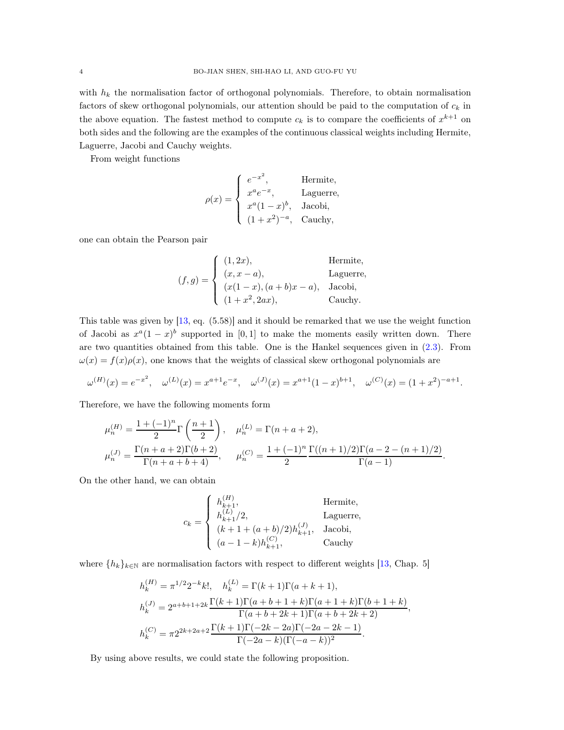with  $h_k$  the normalisation factor of orthogonal polynomials. Therefore, to obtain normalisation factors of skew orthogonal polynomials, our attention should be paid to the computation of  $c_k$  in the above equation. The fastest method to compute  $c_k$  is to compare the coefficients of  $x^{k+1}$  on both sides and the following are the examples of the continuous classical weights including Hermite, Laguerre, Jacobi and Cauchy weights.

From weight functions

$$
\rho(x) = \begin{cases}\ne^{-x^2}, & \text{Hermite}, \\
x^a e^{-x}, & \text{Laguerre}, \\
x^a (1-x)^b, & \text{Jacobi}, \\
(1+x^2)^{-a}, & \text{Cauchy},\n\end{cases}
$$

one can obtain the Pearson pair

$$
(f,g) = \begin{cases} (1,2x), & \text{Hermite,} \\ (x,x-a), & \text{Laguerre,} \\ (x(1-x),(a+b)x-a), & \text{Jacobi,} \\ (1+x^2,2ax), & \text{Cauchy.} \end{cases}
$$

This table was given by [\[13](#page-12-2), eq. (5.58)] and it should be remarked that we use the weight function of Jacobi as  $x^a(1-x)^b$  supported in [0,1] to make the moments easily written down. There are two quantities obtained from this table. One is the Hankel sequences given in [\(2.3\)](#page-2-1). From  $\omega(x) = f(x)\rho(x)$ , one knows that the weights of classical skew orthogonal polynomials are

$$
\omega^{(H)}(x) = e^{-x^2}, \quad \omega^{(L)}(x) = x^{a+1}e^{-x}, \quad \omega^{(J)}(x) = x^{a+1}(1-x)^{b+1}, \quad \omega^{(C)}(x) = (1+x^2)^{-a+1}.
$$

Therefore, we have the following moments form

$$
\mu_n^{(H)} = \frac{1 + (-1)^n}{2} \Gamma\left(\frac{n+1}{2}\right), \quad \mu_n^{(L)} = \Gamma(n+a+2),
$$
  

$$
\mu_n^{(J)} = \frac{\Gamma(n+a+2)\Gamma(b+2)}{\Gamma(n+a+b+4)}, \qquad \mu_n^{(C)} = \frac{1 + (-1)^n}{2} \frac{\Gamma((n+1)/2)\Gamma(a-2-(n+1)/2)}{\Gamma(a-1)}.
$$

On the other hand, we can obtain

$$
c_{k} = \begin{cases} h_{k+1}^{(H)}, & \text{Hermite,} \\ h_{k+1}^{(L)}/2, & \text{Laguerre,} \\ (k+1+(a+b)/2)h_{k+1}^{(J)}, & \text{Jacobi,} \\ (a-1-k)h_{k+1}^{(C)}, & \text{Cauchy} \end{cases}
$$

where  $\{h_k\}_{k\in\mathbb{N}}$  are normalisation factors with respect to different weights [\[13,](#page-12-2) Chap. 5]

$$
h_k^{(H)} = \pi^{1/2} 2^{-k} k!, \quad h_k^{(L)} = \Gamma(k+1)\Gamma(a+k+1),
$$
  
\n
$$
h_k^{(J)} = 2^{a+b+1+2k} \frac{\Gamma(k+1)\Gamma(a+b+1+k)\Gamma(a+1+k)\Gamma(b+1+k)}{\Gamma(a+b+2k+1)\Gamma(a+b+2k+2)},
$$
  
\n
$$
h_k^{(C)} = \pi 2^{2k+2a+2} \frac{\Gamma(k+1)\Gamma(-2k-2a)\Gamma(-2a-2k-1)}{\Gamma(-2a-k)(\Gamma(-a-k))^2}.
$$

By using above results, we could state the following proposition.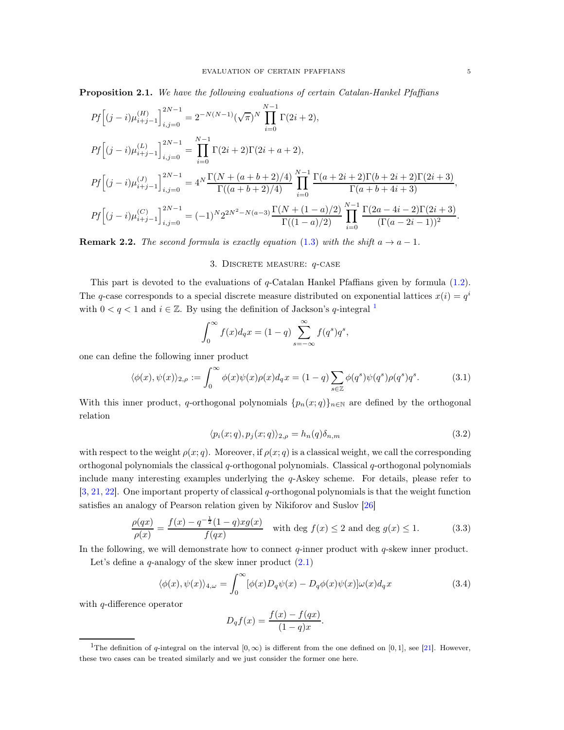Proposition 2.1. We have the following evaluations of certain Catalan-Hankel Pfaffians

$$
Pf\left[(j-i)\mu_{i+j-1}^{(H)}\right]_{i,j=0}^{2N-1} = 2^{-N(N-1)}(\sqrt{\pi})^N \prod_{i=0}^{N-1} \Gamma(2i+2),
$$
  
\n
$$
Pf\left[(j-i)\mu_{i+j-1}^{(L)}\right]_{i,j=0}^{2N-1} = \prod_{i=0}^{N-1} \Gamma(2i+2)\Gamma(2i+a+2),
$$
  
\n
$$
Pf\left[(j-i)\mu_{i+j-1}^{(J)}\right]_{i,j=0}^{2N-1} = 4^N \frac{\Gamma(N+(a+b+2)/4)}{\Gamma((a+b+2)/4)} \prod_{i=0}^{N-1} \frac{\Gamma(a+2i+2)\Gamma(b+2i+2)\Gamma(2i+3)}{\Gamma(a+b+4i+3)},
$$
  
\n
$$
Pf\left[(j-i)\mu_{i+j-1}^{(C)}\right]_{i,j=0}^{2N-1} = (-1)^N 2^{2N^2 - N(a-3)} \frac{\Gamma(N+(1-a)/2)}{\Gamma((1-a)/2)} \prod_{i=0}^{N-1} \frac{\Gamma(2a-4i-2)\Gamma(2i+3)}{(\Gamma(a-2i-1))^2}.
$$

**Remark 2.2.** The second formula is exactly equation [\(1.3\)](#page-1-1) with the shift  $a \rightarrow a - 1$ .

# 3. Discrete measure: q-case

This part is devoted to the evaluations of q-Catalan Hankel Pfaffians given by formula [\(1.2\)](#page-0-1). The q-case corresponds to a special discrete measure distributed on exponential lattices  $x(i) = q<sup>i</sup>$ with  $0 < q < 1$  $0 < q < 1$  and  $i \in \mathbb{Z}$ . By using the definition of Jackson's q-integral <sup>1</sup>

$$
\int_0^\infty f(x)d_qx = (1-q)\sum_{s=-\infty}^\infty f(q^s)q^s,
$$

one can define the following inner product

$$
\langle \phi(x), \psi(x) \rangle_{2,\rho} := \int_0^\infty \phi(x)\psi(x)\rho(x)d_q x = (1-q)\sum_{s \in \mathbb{Z}} \phi(q^s)\psi(q^s)\rho(q^s)q^s. \tag{3.1}
$$

With this inner product, q-orthogonal polynomials  ${p_n(x;q)}_{n\in\mathbb{N}}$  are defined by the orthogonal relation

<span id="page-4-2"></span><span id="page-4-1"></span>
$$
\langle p_i(x;q), p_j(x;q) \rangle_{2,\rho} = h_n(q) \delta_{n,m} \tag{3.2}
$$

with respect to the weight  $\rho(x; q)$ . Moreover, if  $\rho(x; q)$  is a classical weight, we call the corresponding orthogonal polynomials the classical  $q$ -orthogonal polynomials. Classical  $q$ -orthogonal polynomials include many interesting examples underlying the q-Askey scheme. For details, please refer to [\[3,](#page-12-6) [21](#page-13-8), [22](#page-13-9)]. One important property of classical q-orthogonal polynomials is that the weight function satisfies an analogy of Pearson relation given by Nikiforov and Suslov [\[26](#page-13-10)]

$$
\frac{\rho(qx)}{\rho(x)} = \frac{f(x) - q^{-\frac{1}{2}}(1-q)xg(x)}{f(qx)}
$$
 with deg  $f(x) \le 2$  and deg  $g(x) \le 1$ . (3.3)

In the following, we will demonstrate how to connect  $q$ -inner product with  $q$ -skew inner product.

Let's define a  $q$ -analogy of the skew inner product  $(2.1)$ 

$$
\langle \phi(x), \psi(x) \rangle_{4,\omega} = \int_0^\infty [\phi(x) D_q \psi(x) - D_q \phi(x) \psi(x)] \omega(x) d_q x \tag{3.4}
$$

with q-difference operator

<span id="page-4-3"></span>
$$
D_q f(x) = \frac{f(x) - f(qx)}{(1 - q)x}.
$$

<span id="page-4-0"></span><sup>&</sup>lt;sup>1</sup>The definition of q-integral on the interval  $[0, \infty)$  is different from the one defined on [0, 1], see [\[21\]](#page-13-8). However, these two cases can be treated similarly and we just consider the former one here.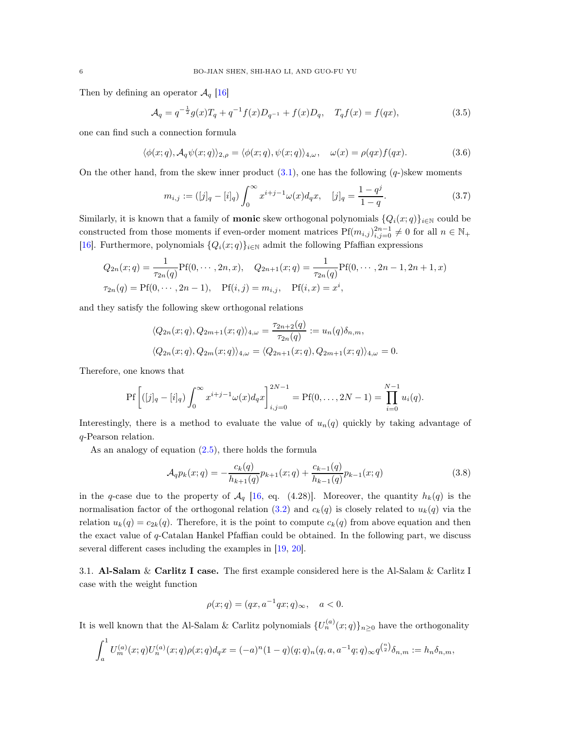Then by defining an operator  $\mathcal{A}_q$  [\[16](#page-13-7)]

$$
\mathcal{A}_q = q^{-\frac{1}{2}} g(x) T_q + q^{-1} f(x) D_{q^{-1}} + f(x) D_q, \quad T_q f(x) = f(qx), \tag{3.5}
$$

one can find such a connection formula

$$
\langle \phi(x;q), A_q \psi(x;q) \rangle_{2,\rho} = \langle \phi(x;q), \psi(x;q) \rangle_{4,\omega}, \quad \omega(x) = \rho(qx) f(qx). \tag{3.6}
$$

On the other hand, from the skew inner product  $(3.1)$ , one has the following  $(q)$ -)skew moments

<span id="page-5-1"></span>
$$
m_{i,j} := ([j]_q - [i]_q) \int_0^\infty x^{i+j-1} \omega(x) d_q x, \quad [j]_q = \frac{1-q^j}{1-q}.
$$
 (3.7)

Similarly, it is known that a family of **monic** skew orthogonal polynomials  $\{Q_i(x; q)\}_{i\in\mathbb{N}}$  could be constructed from those moments if even-order moment matrices  $Pf(m_{i,j})_{i,j=0}^{2n-1} \neq 0$  for all  $n \in \mathbb{N}_+$ [\[16\]](#page-13-7). Furthermore, polynomials  $\{Q_i(x; q)\}_{i\in\mathbb{N}}$  admit the following Pfaffian expressions

$$
Q_{2n}(x;q) = \frac{1}{\tau_{2n}(q)} \text{Pf}(0, \cdots, 2n, x), \quad Q_{2n+1}(x;q) = \frac{1}{\tau_{2n}(q)} \text{Pf}(0, \cdots, 2n-1, 2n+1, x)
$$
  

$$
\tau_{2n}(q) = \text{Pf}(0, \cdots, 2n-1), \quad \text{Pf}(i,j) = m_{i,j}, \quad \text{Pf}(i,x) = x^i,
$$

and they satisfy the following skew orthogonal relations

$$
\langle Q_{2n}(x;q), Q_{2m+1}(x;q) \rangle_{4,\omega} = \frac{\tau_{2n+2}(q)}{\tau_{2n}(q)} := u_n(q)\delta_{n,m},
$$
  

$$
\langle Q_{2n}(x;q), Q_{2m}(x;q) \rangle_{4,\omega} = \langle Q_{2n+1}(x;q), Q_{2m+1}(x;q) \rangle_{4,\omega} = 0.
$$

Therefore, one knows that

U

$$
\Pr\left[([j]_q - [i]_q)\int_0^\infty x^{i+j-1}\omega(x)d_qx\right]_{i,j=0}^{2N-1} = \Pr(0,\ldots,2N-1) = \prod_{i=0}^{N-1} u_i(q).
$$

Interestingly, there is a method to evaluate the value of  $u_n(q)$  quickly by taking advantage of q-Pearson relation.

As an analogy of equation [\(2.5\)](#page-2-2), there holds the formula

$$
\mathcal{A}_q p_k(x;q) = -\frac{c_k(q)}{h_{k+1}(q)} p_{k+1}(x;q) + \frac{c_{k-1}(q)}{h_{k-1}(q)} p_{k-1}(x;q)
$$
\n(3.8)

in the q-case due to the property of  $\mathcal{A}_q$  [\[16,](#page-13-7) eq. (4.28)]. Moreover, the quantity  $h_k(q)$  is the normalisation factor of the orthogonal relation [\(3.2\)](#page-4-2) and  $c_k(q)$  is closely related to  $u_k(q)$  via the relation  $u_k(q) = c_{2k}(q)$ . Therefore, it is the point to compute  $c_k(q)$  from above equation and then the exact value of  $q$ -Catalan Hankel Pfaffian could be obtained. In the following part, we discuss several different cases including the examples in [\[19,](#page-13-3) [20\]](#page-13-4).

3.1. Al-Salam & Carlitz I case. The first example considered here is the Al-Salam & Carlitz I case with the weight function

<span id="page-5-0"></span>
$$
\rho(x;q) = (qx, a^{-1}qx;q)_{\infty}, \quad a < 0.
$$

It is well known that the Al-Salam & Carlitz polynomials  $\{U_n^{(a)}(x;q)\}_{n\geq 0}$  have the orthogonality

$$
\int_a^1 U_m^{(a)}(x;q)U_n^{(a)}(x;q)\rho(x;q)d_qx = (-a)^n (1-q)(q;q)_n (q,a,a^{-1}q;q)_{\infty} q^{\binom{n}{2}}\delta_{n,m} := h_n \delta_{n,m},
$$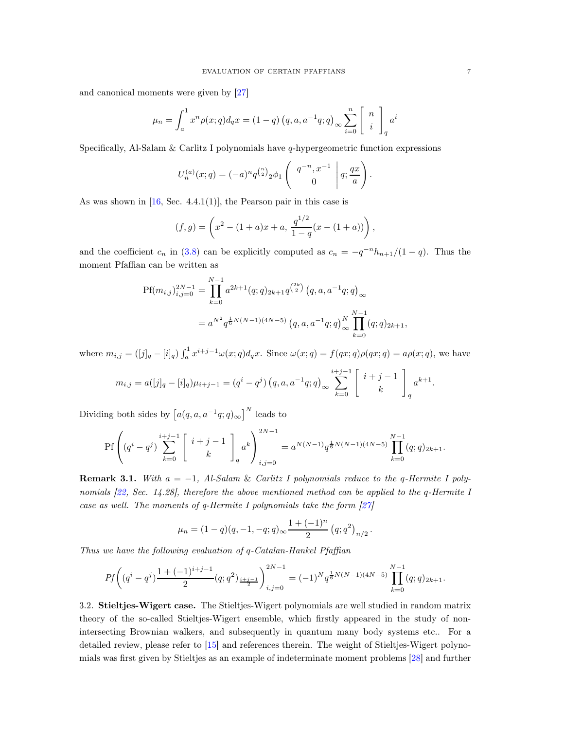and canonical moments were given by [\[27](#page-13-11)]

$$
\mu_n = \int_a^1 x^n \rho(x; q) d_q x = (1 - q) (q, a, a^{-1} q; q)_{\infty} \sum_{i=0}^n \begin{bmatrix} n \\ i \end{bmatrix}_q a^i
$$

Specifically, Al-Salam & Carlitz I polynomials have  $q$ -hypergeometric function expressions

$$
U_n^{(a)}(x;q) = (-a)^n q^{\binom{n}{2}} 2\phi_1 \begin{pmatrix} q^{-n}, x^{-1} \\ 0 \end{pmatrix} q; \frac{qx}{a}.
$$

As was shown in  $[16, \text{Sec. } 4.4.1(1)]$ , the Pearson pair in this case is

$$
(f,g) = \left(x^2 - (1+a)x + a, \frac{q^{1/2}}{1-q}(x - (1+a))\right),
$$

and the coefficient  $c_n$  in [\(3.8\)](#page-5-0) can be explicitly computed as  $c_n = -q^{-n}h_{n+1}/(1-q)$ . Thus the moment Pfaffian can be written as

$$
Pf(m_{i,j})_{i,j=0}^{2N-1} = \prod_{k=0}^{N-1} a^{2k+1}(q;q)_{2k+1} q^{\binom{2k}{2}} (q,a,a^{-1}q;q)_{\infty}
$$
  
=  $a^{N^2} q^{\frac{1}{6}N(N-1)(4N-5)} (q,a,a^{-1}q;q)_{\infty}^N \prod_{k=0}^{N-1} (q;q)_{2k+1},$ 

where  $m_{i,j} = ([j]_q - [i]_q) \int_a^1 x^{i+j-1} \omega(x; q) d_q x$ . Since  $\omega(x; q) = f(qx; q) \rho(qx; q) = a \rho(x; q)$ , we have

$$
m_{i,j} = a([j]_q - [i]_q)\mu_{i+j-1} = (q^i - q^j) (q, a, a^{-1}q; q)_\infty \sum_{k=0}^{i+j-1} \begin{bmatrix} i+j-1 \\ k \end{bmatrix}_q a^{k+1}.
$$

Dividing both sides by  $[a(q, a, a^{-1}q; q)_{\infty}]^N$  leads to

$$
\mathrm{Pf}\left((q^{i}-q^{j})\sum_{k=0}^{i+j-1}\left[\begin{array}{c}i+j-1\\k\end{array}\right]_{q}a^{k}\right)_{i,j=0}^{2N-1}=a^{N(N-1)}q^{\frac{1}{6}N(N-1)(4N-5)}\prod_{k=0}^{N-1}(q;q)_{2k+1}.
$$

**Remark 3.1.** With  $a = -1$ , Al-Salam & Carlitz I polynomials reduce to the q-Hermite I poly-nomials [\[22,](#page-13-9) Sec. 14.28], therefore the above mentioned method can be applied to the q-Hermite I case as well. The moments of q-Hermite I polynomials take the form  $[27]$ 

$$
\mu_n = (1-q)(q, -1, -q; q)_{\infty} \frac{1+(-1)^n}{2} (q; q^2)_{n/2}.
$$

Thus we have the following evaluation of q-Catalan-Hankel Pfaffian

$$
Pf\left((q^{i}-q^{j})\frac{1+(-1)^{i+j-1}}{2}(q;q^{2})_{\frac{i+j-1}{2}}\right)_{i,j=0}^{2N-1}=(-1)^{N}q^{\frac{1}{6}N(N-1)(4N-5)}\prod_{k=0}^{N-1}(q;q)_{2k+1}.
$$

3.2. Stieltjes-Wigert case. The Stieltjes-Wigert polynomials are well studied in random matrix theory of the so-called Stieltjes-Wigert ensemble, which firstly appeared in the study of nonintersecting Brownian walkers, and subsequently in quantum many body systems etc.. For a detailed review, please refer to [\[15](#page-13-12)] and references therein. The weight of Stieltjes-Wigert polynomials was first given by Stieltjes as an example of indeterminate moment problems [\[28\]](#page-13-13) and further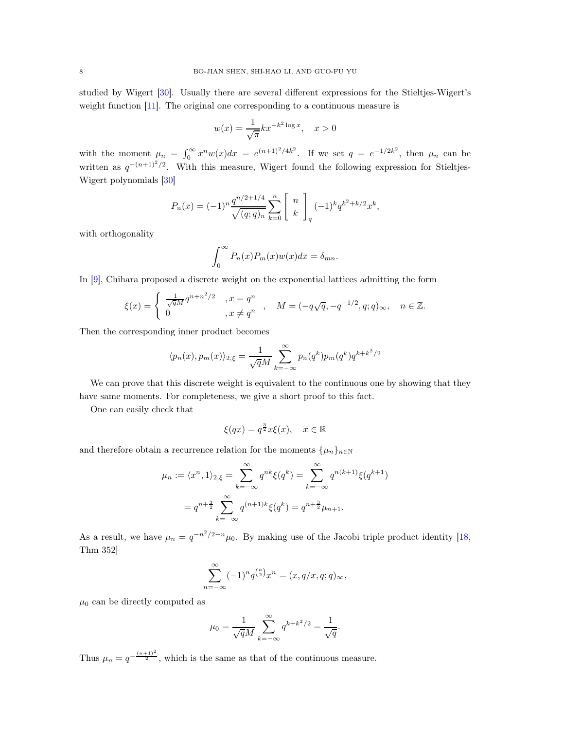studied by Wigert [\[30\]](#page-13-14). Usually there are several different expressions for the Stieltjes-Wigert's weight function [\[11\]](#page-12-7). The original one corresponding to a continuous measure is

$$
w(x) = \frac{1}{\sqrt{\pi}} kx^{-k^2 \log x}, \quad x > 0
$$

with the moment  $\mu_n = \int_0^\infty x^n w(x) dx = e^{(n+1)^2/4k^2}$ . If we set  $q = e^{-1/2k^2}$ , then  $\mu_n$  can be written as  $q^{-(n+1)^2/2}$ . With this measure, Wigert found the following expression for Stieltjes-Wigert polynomials [\[30\]](#page-13-14)

$$
P_n(x) = (-1)^n \frac{q^{n/2+1/4}}{\sqrt{(q;q)_n}} \sum_{k=0}^n \begin{bmatrix} n \\ k \end{bmatrix}_q (-1)^k q^{k^2+k/2} x^k,
$$

with orthogonality

$$
\int_0^\infty P_n(x)P_m(x)w(x)dx = \delta_{mn}.
$$

In [\[9](#page-12-8)], Chihara proposed a discrete weight on the exponential lattices admitting the form

$$
\xi(x) = \begin{cases} \frac{1}{\sqrt{q}M} q^{n+n^2/2} & , x = q^n \\ 0 & , x \neq q^n \end{cases}, \quad M = (-q\sqrt{q}, -q^{-1/2}, q; q)_{\infty}, \quad n \in \mathbb{Z}.
$$

Then the corresponding inner product becomes

$$
\langle p_n(x), p_m(x) \rangle_{2,\xi} = \frac{1}{\sqrt{q}M} \sum_{k=-\infty}^{\infty} p_n(q^k) p_m(q^k) q^{k+k^2/2}
$$

We can prove that this discrete weight is equivalent to the continuous one by showing that they have same moments. For completeness, we give a short proof to this fact.

One can easily check that

$$
\xi(qx) = q^{\frac{3}{2}}x\xi(x), \quad x \in \mathbb{R}
$$

and therefore obtain a recurrence relation for the moments  $\{\mu_n\}_{n\in\mathbb{N}}$ 

$$
\mu_n := \langle x^n, 1 \rangle_{2, \xi} = \sum_{k=-\infty}^{\infty} q^{nk} \xi(q^k) = \sum_{k=-\infty}^{\infty} q^{n(k+1)} \xi(q^{k+1})
$$

$$
= q^{n + \frac{3}{2}} \sum_{k=-\infty}^{\infty} q^{(n+1)k} \xi(q^k) = q^{n + \frac{3}{2}} \mu_{n+1}.
$$

As a result, we have  $\mu_n = q^{-n^2/2-n}\mu_0$ . By making use of the Jacobi triple product identity [\[18,](#page-13-15) Thm 352]

$$
\sum_{n=-\infty}^{\infty} (-1)^n q^{\binom{n}{2}} x^n = (x, q/x, q; q)_{\infty},
$$

 $\mu_0$  can be directly computed as

$$
\mu_0 = \frac{1}{\sqrt{q}M} \sum_{k=-\infty}^{\infty} q^{k+k^2/2} = \frac{1}{\sqrt{q}}.
$$

Thus  $\mu_n = q^{-\frac{(n+1)^2}{2}}$ , which is the same as that of the continuous measure.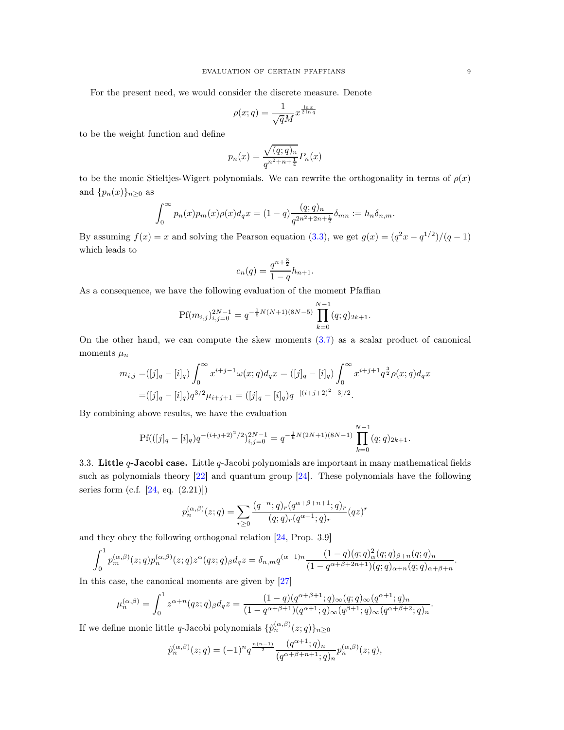For the present need, we would consider the discrete measure. Denote

$$
\rho(x;q) = \frac{1}{\sqrt{qM}} x^{\frac{\ln x}{2\ln q}}
$$

to be the weight function and define

$$
p_n(x) = \frac{\sqrt{(q;q)_n}}{q^{n^2 + n + \frac{1}{4}}} P_n(x)
$$

to be the monic Stieltjes-Wigert polynomials. We can rewrite the orthogonality in terms of  $\rho(x)$ and  $\{p_n(x)\}_{n\geq 0}$  as

$$
\int_0^{\infty} p_n(x) p_m(x) \rho(x) d_q x = (1-q) \frac{(q;q)_n}{q^{2n^2+2n+\frac{1}{2}}} \delta_{mn} := h_n \delta_{n,m}.
$$

By assuming  $f(x) = x$  and solving the Pearson equation [\(3.3\)](#page-4-3), we get  $g(x) = (q^2x - q^{1/2})/(q-1)$ which leads to

$$
c_n(q) = \frac{q^{n + \frac{3}{2}}}{1 - q} h_{n+1}.
$$

As a consequence, we have the following evaluation of the moment Pfaffian

$$
Pf(m_{i,j})_{i,j=0}^{2N-1} = q^{-\frac{1}{6}N(N+1)(8N-5)} \prod_{k=0}^{N-1} (q;q)_{2k+1}.
$$

On the other hand, we can compute the skew moments [\(3.7\)](#page-5-1) as a scalar product of canonical moments  $\mu_n$ 

$$
m_{i,j} = ([j]_q - [i]_q) \int_0^\infty x^{i+j-1} \omega(x;q) d_q x = ([j]_q - [i]_q) \int_0^\infty x^{i+j+1} q^{\frac{3}{2}} \rho(x;q) d_q x
$$
  
= 
$$
([j]_q - [i]_q) q^{3/2} \mu_{i+j+1} = ([j]_q - [i]_q) q^{-[(i+j+2)^2-3]/2}.
$$

By combining above results, we have the evaluation

$$
\text{Pf}(([j]_q - [i]_q)q^{-(i+j+2)^2/2})_{i,j=0}^{2N-1} = q^{-\frac{1}{6}N(2N+1)(8N-1)} \prod_{k=0}^{N-1} (q;q)_{2k+1}.
$$

3.3. Little  $q$ -Jacobi case. Little  $q$ -Jacobi polynomials are important in many mathematical fields such as polynomials theory [\[22\]](#page-13-9) and quantum group [\[24\]](#page-13-16). These polynomials have the following series form (c.f.  $[24, eq. (2.21)]$ )

$$
p_n^{(\alpha,\beta)}(z;q) = \sum_{r\geq 0} \frac{(q^{-n};q)_r (q^{\alpha+\beta+n+1};q)_r}{(q;q)_r (q^{\alpha+1};q)_r} (qz)^r
$$

and they obey the following orthogonal relation [\[24](#page-13-16), Prop. 3.9]

$$
\int_0^1 p_m^{(\alpha,\beta)}(z;q) p_n^{(\alpha,\beta)}(z;q) z^{\alpha}(qz;q)_{\beta} d_q z = \delta_{n,m} q^{(\alpha+1)n} \frac{(1-q)(q;q)_\alpha^2 (q;q)_{\beta+n}(q;q)_n}{(1-q^{\alpha+\beta+2n+1})(q;q)_{\alpha+n}(q;q)_{\alpha+\beta+n}}.
$$

In this case, the canonical moments are given by [\[27](#page-13-11)]

$$
\mu_n^{(\alpha,\beta)} = \int_0^1 z^{\alpha+n} (qz;q)_{\beta} dq z = \frac{(1-q)(q^{\alpha+\beta+1};q)_{\infty}(q;q)_{\infty}(q^{\alpha+1};q)_n}{(1-q^{\alpha+\beta+1})(q^{\alpha+1};q)_{\infty}(q^{\beta+1};q)_{\infty}(q^{\alpha+\beta+2};q)_n}.
$$

If we define monic little q-Jacobi polynomials  $\{\hat{p}_n^{(\alpha,\beta)}(z;q)\}_{n\geq 0}$ 

$$
\tilde{p}_n^{(\alpha,\beta)}(z;q) = (-1)^n q^{\frac{n(n-1)}{2}} \frac{(q^{\alpha+1};q)_n}{(q^{\alpha+\beta+n+1};q)_n} p_n^{(\alpha,\beta)}(z;q),
$$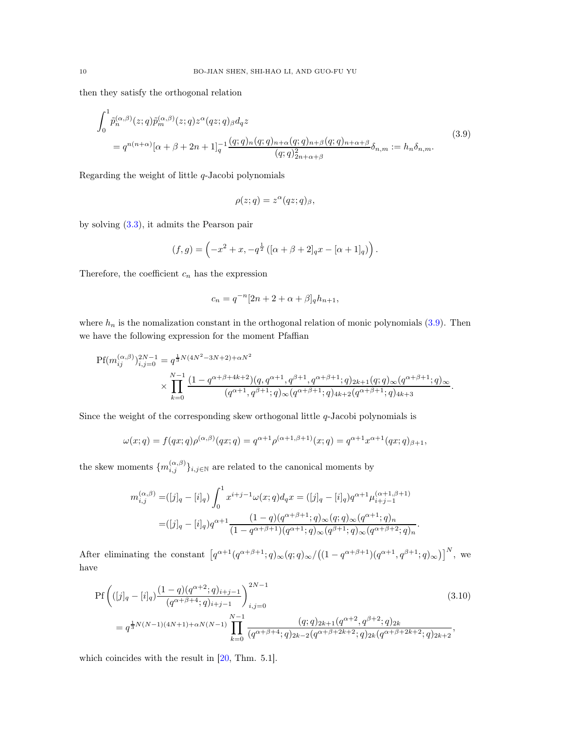then they satisfy the orthogonal relation

$$
\int_0^1 \tilde{p}_n^{(\alpha,\beta)}(z;q) \tilde{p}_m^{(\alpha,\beta)}(z;q) z^{\alpha} (qz;q)_{\beta} d_q z
$$
\n
$$
= q^{n(n+\alpha)} [\alpha + \beta + 2n + 1]_q^{-1} \frac{(q;q)_n (q;q)_{n+\alpha} (q;q)_{n+\beta} (q;q)_{n+\alpha+\beta}}{(q;q)_{2n+\alpha+\beta}^2} \delta_{n,m} := h_n \delta_{n,m}.
$$
\n(3.9)

Regarding the weight of little  $q$ -Jacobi polynomials

<span id="page-9-0"></span>
$$
\rho(z;q) = z^{\alpha}(qz;q)_{\beta},
$$

by solving [\(3.3\)](#page-4-3), it admits the Pearson pair

$$
(f,g) = \left(-x^2 + x, -q^{\frac{1}{2}} \left( [\alpha + \beta + 2]_q x - [\alpha + 1]_q \right) \right).
$$

Therefore, the coefficient  $c_n$  has the expression

$$
c_n = q^{-n} [2n + 2 + \alpha + \beta]_q h_{n+1},
$$

where  $h_n$  is the nomalization constant in the orthogonal relation of monic polynomials  $(3.9)$ . Then we have the following expression for the moment Pfaffian

$$
\begin{split} \text{Pf}(m_{ij}^{(\alpha,\beta)})_{i,j=0}^{2N-1} &= q^{\frac{1}{3}N(4N^2-3N+2)+\alpha N^2} \\ &\times \prod_{k=0}^{N-1} \frac{(1-q^{\alpha+\beta+4k+2})(q,q^{\alpha+1},q^{\beta+1},q^{\alpha+\beta+1};q)_{2k+1}(q;q)_{\infty}(q^{\alpha+\beta+1};q)_{\infty}}{(q^{\alpha+1},q^{\beta+1};q)_{\infty}(q^{\alpha+\beta+1};q)_{4k+2}(q^{\alpha+\beta+1};q)_{4k+3}}. \end{split}
$$

Since the weight of the corresponding skew orthogonal little  $q$ -Jacobi polynomials is

$$
\omega(x;q) = f(qx;q)\rho^{(\alpha,\beta)}(qx;q) = q^{\alpha+1}\rho^{(\alpha+1,\beta+1)}(x;q) = q^{\alpha+1}x^{\alpha+1}(qx;q)_{\beta+1},
$$

the skew moments  $\{m_{i,j}^{(\alpha,\beta)}\}_{i,j\in\mathbb{N}}$  are related to the canonical moments by

<span id="page-9-1"></span>
$$
m_{i,j}^{(\alpha,\beta)} = ([j]_q - [i]_q) \int_0^1 x^{i+j-1} \omega(x;q) d_q x = ([j]_q - [i]_q) q^{\alpha+1} \mu_{i+j-1}^{(\alpha+1,\beta+1)}
$$
  

$$
= ([j]_q - [i]_q) q^{\alpha+1} \frac{(1-q)(q^{\alpha+\beta+1};q)_{\infty}(q;q)_{\infty}(q^{\alpha+1};q)_{n}}{(1-q^{\alpha+\beta+1})(q^{\alpha+1};q)_{\infty}(q^{\beta+1};q)_{\infty}(q^{\alpha+\beta+2};q)_{n}}.
$$

After eliminating the constant  $[q^{\alpha+1}(q^{\alpha+\beta+1};q)_{\infty}(q;q)_{\infty}/((1-q^{\alpha+\beta+1})(q^{\alpha+1},q^{\beta+1};q)_{\infty})]^N$ , we have

$$
Pf\left(([j]_q - [i]_q) \frac{(1-q)(q^{\alpha+2};q)_{i+j-1}}{(q^{\alpha+\beta+4};q)_{i+j-1}}\right)_{i,j=0}^{2N-1}
$$
\n
$$
= q^{\frac{1}{3}N(N-1)(4N+1)+\alpha N(N-1)} \prod_{k=0}^{N-1} \frac{(q;q)_{2k+1}(q^{\alpha+2},q^{\beta+2};q)_{2k}}{(q^{\alpha+\beta+4};q)_{2k-2}(q^{\alpha+\beta+2k+2};q)_{2k}(q^{\alpha+\beta+2k+2};q)_{2k+2}},
$$
\n(3.10)

which coincides with the result in  $[20, Thm. 5.1]$ .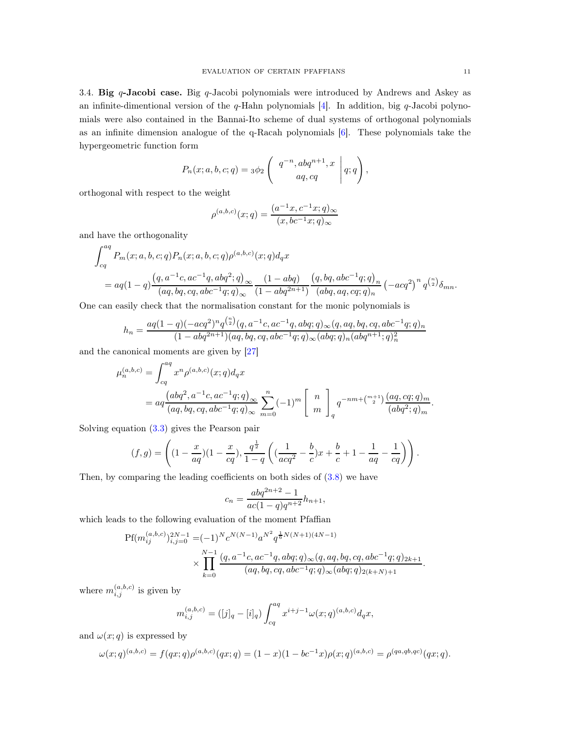3.4. Big  $q$ -Jacobi case. Big  $q$ -Jacobi polynomials were introduced by Andrews and Askey as an infinite-dimentional version of the  $q$ -Hahn polynomials  $[4]$ . In addition, big  $q$ -Jacobi polynomials were also contained in the Bannai-Ito scheme of dual systems of orthogonal polynomials as an infinite dimension analogue of the q-Racah polynomials [\[6](#page-12-10)]. These polynomials take the hypergeometric function form

$$
P_n(x;a,b,c;q) = 3\phi_2 \left( \begin{array}{c} q^{-n}, abq^{n+1}, x \\ aq, cq \end{array} \middle| q; q \right),
$$

orthogonal with respect to the weight

$$
\rho^{(a,b,c)}(x;q) = \frac{(a^{-1}x, c^{-1}x;q)_{\infty}}{(x, bc^{-1}x;q)_{\infty}}
$$

and have the orthogonality

$$
\int_{cq}^{aq} P_m(x;a,b,c;q) P_n(x;a,b,c;q) \rho^{(a,b,c)}(x;q) d_qx
$$
  
= 
$$
aq(1-q) \frac{(q, a^{-1}c, ac^{-1}q, abq^2; q)_{\infty}}{(aq, bq, cq, abc^{-1}q; q)_{\infty}} \frac{(1-abq)}{(1-abq^{2n+1})} \frac{(q, bq, abc^{-1}q; q)_n}{(abq, aq, cq; q)_n} (-acq^2)^n q^{\binom{n}{2}} \delta_{mn}.
$$

One can easily check that the normalisation constant for the monic polynomials is

$$
h_n = \frac{aq(1-q)(-acq^2)^n q^{\binom{n}{2}}(q, a^{-1}c, ac^{-1}q, abq;q)_{\infty}(q, aq, bq, cq, abc^{-1}q;q)_n}{(1-abq^{2n+1})(aq, bq, cq, abc^{-1}q;q)_{\infty}(abq;q)_n(abq^{n+1}; q)_n^2}
$$

and the canonical moments are given by [\[27](#page-13-11)]

$$
\mu_n^{(a,b,c)} = \int_{cq}^{aq} x^n \rho^{(a,b,c)}(x;q) d_q x
$$
  
=  $aq \frac{(abq^2, a^{-1}c, ac^{-1}q;q)_{\infty}}{(aq, bq, cq, abc^{-1}q;q)_{\infty}} \sum_{m=0}^n (-1)^m \begin{bmatrix} n \\ m \end{bmatrix}_q q^{-nm + {m+1 \choose 2}} \frac{(aq, cq;q)_m}{(abq^2;q)_m}.$ 

Solving equation [\(3.3\)](#page-4-3) gives the Pearson pair

$$
(f,g) = \left( (1 - \frac{x}{aq})(1 - \frac{x}{cq}), \frac{q^{\frac{1}{2}}}{1-q} \left( (\frac{1}{acq^2} - \frac{b}{c})x + \frac{b}{c} + 1 - \frac{1}{aq} - \frac{1}{cq} \right) \right).
$$

Then, by comparing the leading coefficients on both sides of  $(3.8)$  we have

$$
c_n = \frac{abq^{2n+2} - 1}{ac(1-q)q^{n+2}}h_{n+1},
$$

which leads to the following evaluation of the moment Pfaffian

$$
\begin{split} \mathrm{Pf}(m_{ij}^{(a,b,c)})_{i,j=0}^{2N-1}=&(-1)^{N}c^{N(N-1)}a^{N^2}q^{\frac{1}{6}N(N+1)(4N-1)}\\ &\times\prod_{k=0}^{N-1}\frac{(q,a^{-1}c,ac^{-1}q,abq;q)_\infty(q,aq,bq,cq,abc^{-1}q;q)_{2k+1}}{(aq,bq,cq,abc^{-1}q;q)_\infty(abq;q)_{2(k+N)+1}} \end{split}
$$

where  $m_{i,j}^{(a,b,c)}$  is given by

$$
m_{i,j}^{(a,b,c)} = ([j]_q - [i]_q) \int_{cq}^{aq} x^{i+j-1} \omega(x;q)^{(a,b,c)} d_q x,
$$

and  $\omega(x; q)$  is expressed by

$$
\omega(x;q)^{(a,b,c)} = f(qx;q)\rho^{(a,b,c)}(qx;q) = (1-x)(1-bc^{-1}x)\rho(x;q)^{(a,b,c)} = \rho^{(qa,qb,qc)}(qx;q).
$$

.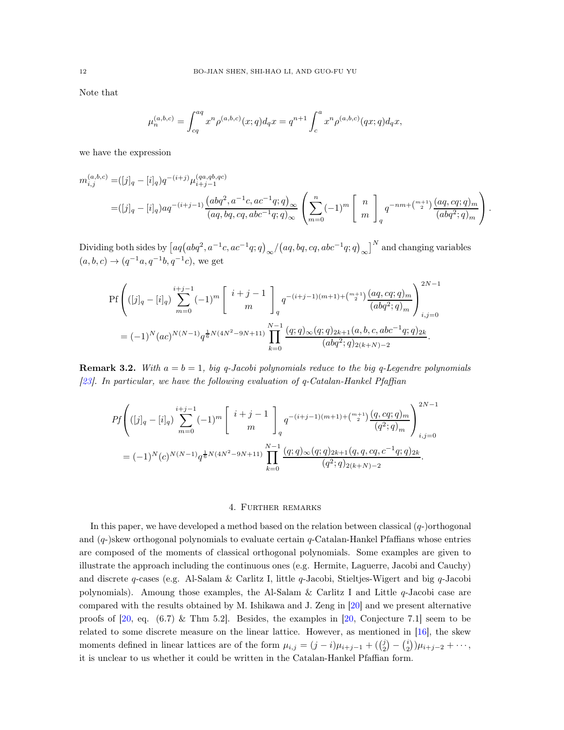Note that

$$
\mu_n^{(a,b,c)} = \int_{cq}^{aq} x^n \rho^{(a,b,c)}(x;q) d_q x = q^{n+1} \int_c^a x^n \rho^{(a,b,c)}(qx;q) d_q x,
$$

we have the expression

$$
m_{i,j}^{(a,b,c)} = ([j]_q - [i]_q)q^{-(i+j)} \mu_{i+j-1}^{(qa,qb,qc)}
$$
  
= 
$$
([j]_q - [i]_q)aq^{-(i+j-1)} \frac{(abq^2, a^{-1}c, ac^{-1}q; q)_{\infty}}{(aq, bq, cq, abc^{-1}q; q)_{\infty}} \left( \sum_{m=0}^n (-1)^m \begin{bmatrix} n \\ m \end{bmatrix}_q q^{-nm + {m+1 \choose 2}} \frac{(aq, cq; q)_m}{(abq^2; q)_m} \right).
$$

Dividing both sides by  $[aq(abq^2, a^{-1}c, ac^{-1}q; q)_{\infty}/(aq, bq, cq, abc^{-1}q; q)_{\infty}]^N$  and changing variables  $(a, b, c) \rightarrow (q^{-1}a, q^{-1}b, q^{-1}c)$ , we get

$$
Pf\left(([j]_q - [i]_q) \sum_{m=0}^{i+j-1} (-1)^m \begin{bmatrix} i+j-1 \ m \end{bmatrix}_q q^{-(i+j-1)(m+1) + {m+1 \choose 2}} \frac{(aq, cq; q)_m}{(abq^2; q)_m} \right)_{i,j=0}^{2N-1}
$$
  
=  $(-1)^N (ac)^{N(N-1)} q^{\frac{1}{6}N(4N^2-9N+11)} \prod_{k=0}^{N-1} \frac{(q; q)_{\infty}(q; q)_{2k+1}(a, b, c, abc^{-1}q; q)_{2k}}{(abq^2; q)_{2(k+N)-2}}.$ 

**Remark 3.2.** With  $a = b = 1$ , big q-Jacobi polynomials reduce to the big q-Legendre polynomials [\[23](#page-13-6)]. In particular, we have the following evaluation of  $q$ -Catalan-Hankel Pfaffian

$$
Pf\left(([j]_q - [i]_q) \sum_{m=0}^{i+j-1} (-1)^m \begin{bmatrix} i+j-1 \ m \end{bmatrix}_q q^{-(i+j-1)(m+1) + {m+1 \choose 2}} \frac{(q, cq; q)_m}{(q^2; q)_m} \right)_{i,j=0}^{2N-1}
$$
  
=  $(-1)^N(c)^{N(N-1)} q^{\frac{1}{6}N(4N^2 - 9N + 11)} \prod_{k=0}^{N-1} \frac{(q; q)_{\infty}(q; q)_{2k+1}(q, q, cq, c^{-1}q; q)_{2k}}{(q^2; q)_{2(k+N)-2}}.$ 

### 4. Further remarks

In this paper, we have developed a method based on the relation between classical  $(q-)$ orthogonal and  $(q)$ skew orthogonal polynomials to evaluate certain  $q$ -Catalan-Hankel Pfaffians whose entries are composed of the moments of classical orthogonal polynomials. Some examples are given to illustrate the approach including the continuous ones (e.g. Hermite, Laguerre, Jacobi and Cauchy) and discrete q-cases (e.g. Al-Salam & Carlitz I, little q-Jacobi, Stieltjes-Wigert and big q-Jacobi polynomials). Amoung those examples, the Al-Salam & Carlitz I and Little  $q$ -Jacobi case are compared with the results obtained by M. Ishikawa and J. Zeng in [\[20\]](#page-13-4) and we present alternative proofs of  $[20, \text{ eq. } (6.7) \& \text{ Thm } 5.2]$ . Besides, the examples in  $[20, \text{ Conjecture } 7.1]$  seem to be related to some discrete measure on the linear lattice. However, as mentioned in [\[16](#page-13-7)], the skew moments defined in linear lattices are of the form  $\mu_{i,j} = (j - i)\mu_{i+j-1} + (\binom{j}{2} - \binom{i}{2})\mu_{i+j-2} + \cdots$ , it is unclear to us whether it could be written in the Catalan-Hankel Pfaffian form.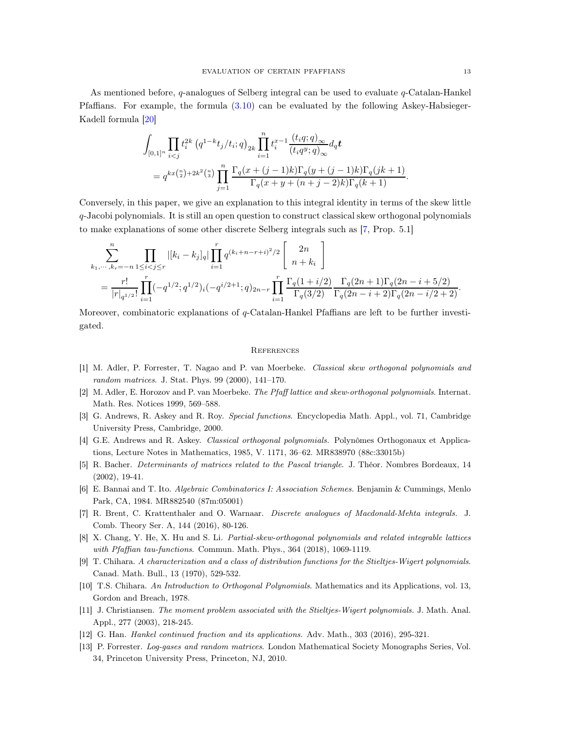As mentioned before, q-analogues of Selberg integral can be used to evaluate q-Catalan-Hankel Pfaffians. For example, the formula [\(3.10\)](#page-9-1) can be evaluated by the following Askey-Habsieger-Kadell formula [\[20](#page-13-4)]

$$
\begin{aligned} &\int_{[0,1]^n} \prod_{i
$$

Conversely, in this paper, we give an explanation to this integral identity in terms of the skew little q-Jacobi polynomials. It is still an open question to construct classical skew orthogonal polynomials to make explanations of some other discrete Selberg integrals such as [\[7](#page-12-11), Prop. 5.1]

$$
\sum_{k_1,\dots,k_r=-n}^{n} \prod_{1 \leq i < j \leq r} |[k_i - k_j]_q| \prod_{i=1}^r q^{(k_i + n - r + i)^2/2} \begin{bmatrix} 2n \\ n + k_i \end{bmatrix}
$$
\n
$$
= \frac{r!}{|r|_{q^{1/2}}} \prod_{i=1}^r (-q^{1/2}; q^{1/2})_i (-q^{i/2+1}; q)_{2n-r} \prod_{i=1}^r \frac{\Gamma_q(1+i/2)}{\Gamma_q(3/2)} \frac{\Gamma_q(2n+1)\Gamma_q(2n-i+5/2)}{\Gamma_q(2n-i+2)\Gamma_q(2n-i/2+2)}.
$$

Moreover, combinatoric explanations of q-Catalan-Hankel Pfaffians are left to be further investigated.

#### **REFERENCES**

- <span id="page-12-3"></span>[1] M. Adler, P. Forrester, T. Nagao and P. van Moerbeke. Classical skew orthogonal polynomials and random matrices. J. Stat. Phys. 99 (2000), 141–170.
- <span id="page-12-4"></span>[2] M. Adler, E. Horozov and P. van Moerbeke. The Pfaff lattice and skew-orthogonal polynomials. Internat. Math. Res. Notices 1999, 569–588.
- <span id="page-12-6"></span>[3] G. Andrews, R. Askey and R. Roy. Special functions. Encyclopedia Math. Appl., vol. 71, Cambridge University Press, Cambridge, 2000.
- <span id="page-12-9"></span>[4] G.E. Andrews and R. Askey. Classical orthogonal polynomials. Polynômes Orthogonaux et Applications, Lecture Notes in Mathematics, 1985, V. 1171, 36–62. MR838970 (88c:33015b)
- <span id="page-12-0"></span>[5] R. Bacher. Determinants of matrices related to the Pascal triangle. J. Théor. Nombres Bordeaux, 14 (2002), 19-41.
- <span id="page-12-10"></span>[6] E. Bannai and T. Ito. Algebraic Combinatorics I: Association Schemes. Benjamin & Cummings, Menlo Park, CA, 1984. MR882540 (87m:05001)
- <span id="page-12-11"></span>[7] R. Brent, C. Krattenthaler and O. Warnaar. Discrete analogues of Macdonald-Mehta integrals. J. Comb. Theory Ser. A, 144 (2016), 80-126.
- <span id="page-12-5"></span>[8] X. Chang, Y. He, X. Hu and S. Li. Partial-skew-orthogonal polynomials and related integrable lattices with Pfaffian tau-functions. Commun. Math. Phys., 364 (2018), 1069-1119.
- <span id="page-12-8"></span>[9] T. Chihara. A characterization and a class of distribution functions for the Stieltjes-Wigert polynomials. Canad. Math. Bull., 13 (1970), 529-532.
- [10] T.S. Chihara. An Introduction to Orthogonal Polynomials. Mathematics and its Applications, vol. 13, Gordon and Breach, 1978.
- <span id="page-12-7"></span>[11] J. Christiansen. The moment problem associated with the Stieltjes-Wigert polynomials. J. Math. Anal. Appl., 277 (2003), 218-245.
- <span id="page-12-1"></span>[12] G. Han. Hankel continued fraction and its applications. Adv. Math., 303 (2016), 295-321.
- <span id="page-12-2"></span>[13] P. Forrester. Log-gases and random matrices. London Mathematical Society Monographs Series, Vol. 34, Princeton University Press, Princeton, NJ, 2010.